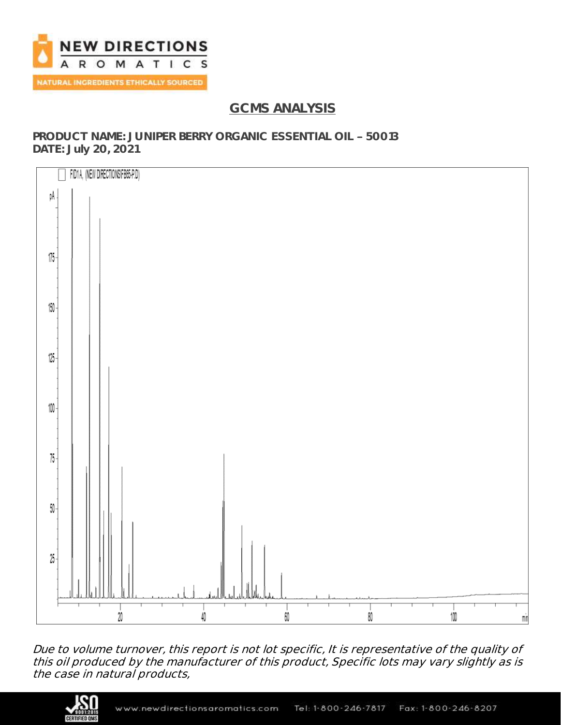

# **GCMS ANALYSIS**

**PRODUCT NAME: JUNIPER BERRY ORGANIC ESSENTIAL OIL 50013 DATE: July 20, 2021**



Due to volume turnover, this report is not lot specific, It is representative of the quality of this oil produced by the manufacturer of this product, Specific lots may vary slightly as is the case in natural products,

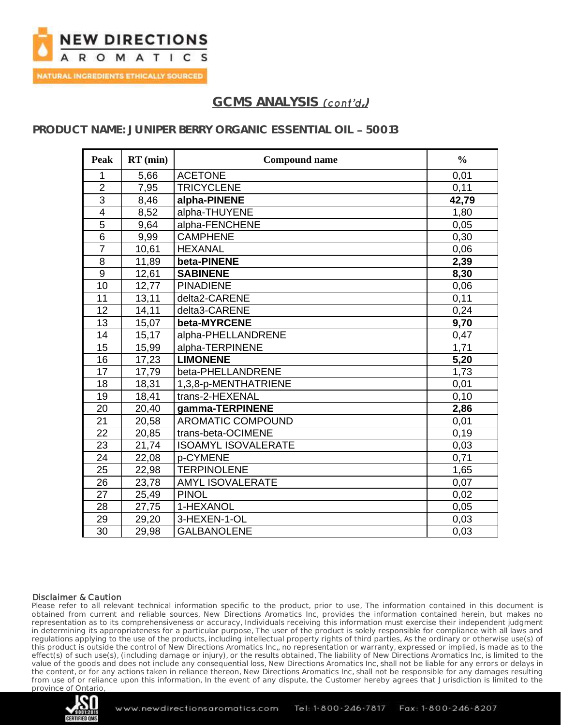

## **PRODUCT NAME: JUNIPER BERRY ORGANIC ESSENTIAL OIL 50013**

| <b>Peak</b>     | $RT$ (min) | <b>Compound name</b>       | $\frac{0}{0}$ |
|-----------------|------------|----------------------------|---------------|
| 1               | 5,66       | <b>ACETONE</b>             | 0,01          |
| $\overline{2}$  | 7,95       | <b>TRICYCLENE</b>          | 0,11          |
| 3               | 8,46       | alpha-PINENE               | 42,79         |
| $\overline{4}$  | 8,52       | alpha-THUYENE              | 1,80          |
| 5               | 9,64       | alpha-FENCHENE             | 0,05          |
| 6               | 9,99       | <b>CAMPHENE</b>            | 0,30          |
| $\overline{7}$  | 10,61      | <b>HEXANAL</b>             | 0,06          |
| 8               | 11,89      | beta-PINENE                | 2,39          |
| 9               | 12,61      | <b>SABINENE</b>            | 8,30          |
| 10              | 12,77      | <b>PINADIENE</b>           | 0,06          |
| 11              | 13,11      | delta2-CARENE              | 0,11          |
| 12              | 14,11      | delta3-CARENE              | 0,24          |
| 13              | 15,07      | beta-MYRCENE               | 9,70          |
| 14              | 15,17      | alpha-PHELLANDRENE         | 0,47          |
| 15              | 15,99      | alpha-TERPINENE            | 1,71          |
| 16              | 17,23      | <b>LIMONENE</b>            | 5,20          |
| 17              | 17,79      | beta-PHELLANDRENE          | 1,73          |
| 18              | 18,31      | 1,3,8-p-MENTHATRIENE       | 0,01          |
| 19              | 18,41      | trans-2-HEXENAL            | 0,10          |
| 20              | 20,40      | gamma-TERPINENE            | 2,86          |
| $\overline{21}$ | 20,58      | <b>AROMATIC COMPOUND</b>   | 0,01          |
| $\overline{22}$ | 20,85      | trans-beta-OCIMENE         | 0, 19         |
| 23              | 21,74      | <b>ISOAMYL ISOVALERATE</b> | 0,03          |
| 24              | 22,08      | p-CYMENE                   | 0,71          |
| $\overline{25}$ | 22,98      | <b>TERPINOLENE</b>         | 1,65          |
| 26              | 23,78      | <b>AMYL ISOVALERATE</b>    | 0,07          |
| 27              | 25,49      | <b>PINOL</b>               | 0,02          |
| 28              | 27,75      | 1-HEXANOL                  | 0,05          |
| 29              | 29,20      | 3-HEXEN-1-OL               | 0,03          |
| 30              | 29,98      | <b>GALBANOLENE</b>         | 0,03          |

#### Disclaimer & Caution

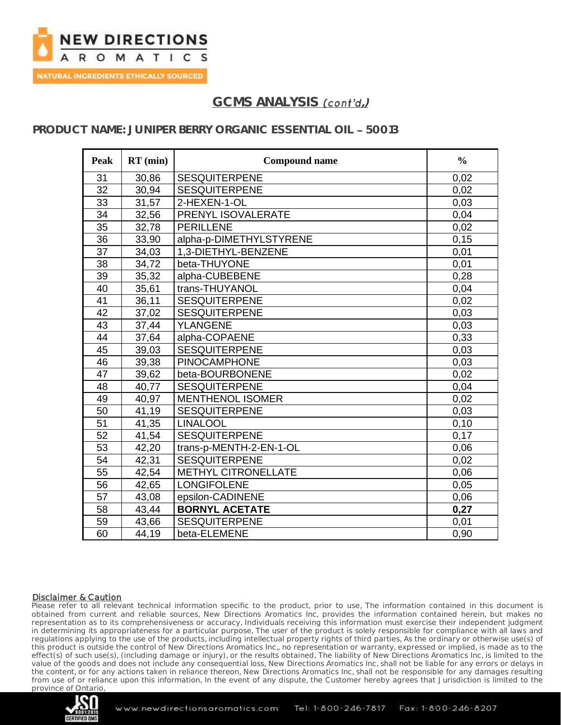

## **PRODUCT NAME: JUNIPER BERRY ORGANIC ESSENTIAL OIL 50013**

| <b>Peak</b>     | $RT$ (min) | <b>Compound name</b>       | $\frac{0}{0}$ |
|-----------------|------------|----------------------------|---------------|
| 31              | 30,86      | <b>SESQUITERPENE</b>       | 0,02          |
| 32              | 30,94      | <b>SESQUITERPENE</b>       | 0,02          |
| 33              | 31,57      | 2-HEXEN-1-OL               | 0,03          |
| 34              | 32,56      | PRENYL ISOVALERATE         | 0,04          |
| 35              | 32,78      | <b>PERILLENE</b>           | 0,02          |
| 36              | 33,90      | alpha-p-DIMETHYLSTYRENE    | 0, 15         |
| $\overline{37}$ | 34,03      | 1,3-DIETHYL-BENZENE        | 0,01          |
| $\overline{38}$ | 34,72      | beta-THUYONE               | 0,01          |
| 39              | 35,32      | alpha-CUBEBENE             | 0,28          |
| 40              | 35,61      | trans-THUYANOL             | 0,04          |
| 41              | 36,11      | <b>SESQUITERPENE</b>       | 0,02          |
| 42              | 37,02      | <b>SESQUITERPENE</b>       | 0,03          |
| 43              | 37,44      | <b>YLANGENE</b>            | 0,03          |
| 44              | 37,64      | alpha-COPAENE              | 0,33          |
| 45              | 39,03      | <b>SESQUITERPENE</b>       | 0,03          |
| 46              | 39,38      | <b>PINOCAMPHONE</b>        | 0,03          |
| 47              | 39,62      | beta-BOURBONENE            | 0,02          |
| 48              | 40,77      | <b>SESQUITERPENE</b>       | 0,04          |
| 49              | 40,97      | <b>MENTHENOL ISOMER</b>    | 0,02          |
| 50              | 41,19      | <b>SESQUITERPENE</b>       | 0,03          |
| 51              | 41,35      | <b>LINALOOL</b>            | 0,10          |
| 52              | 41,54      | <b>SESQUITERPENE</b>       | 0,17          |
| 53              | 42,20      | trans-p-MENTH-2-EN-1-OL    | 0,06          |
| 54              | 42,31      | <b>SESQUITERPENE</b>       | 0,02          |
| 55              | 42,54      | <b>METHYL CITRONELLATE</b> | 0,06          |
| 56              | 42,65      | <b>LONGIFOLENE</b>         | 0,05          |
| 57              | 43,08      | epsilon-CADINENE           | 0,06          |
| 58              | 43,44      | <b>BORNYL ACETATE</b>      | 0,27          |
| 59              | 43,66      | <b>SESQUITERPENE</b>       | 0,01          |
| 60              | 44,19      | beta-ELEMENE               | 0,90          |

#### Disclaimer & Caution

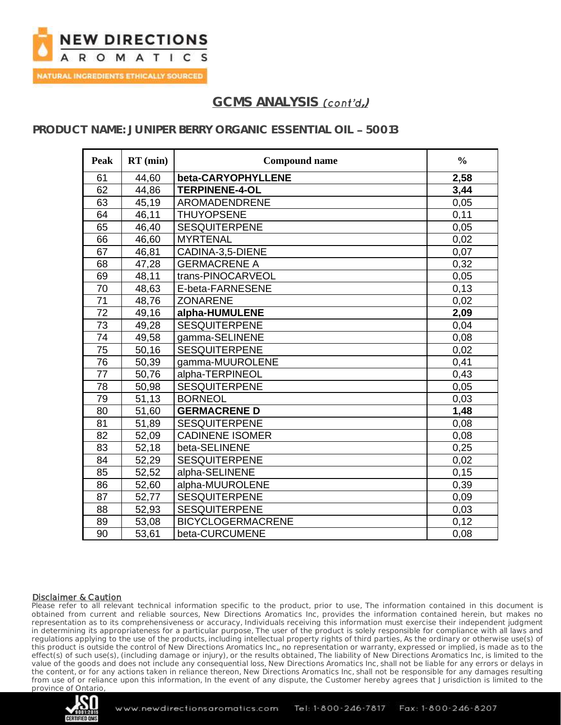

## **PRODUCT NAME: JUNIPER BERRY ORGANIC ESSENTIAL OIL 50013**

| <b>Peak</b>     | $RT$ (min) | <b>Compound name</b>     | $\frac{0}{0}$ |
|-----------------|------------|--------------------------|---------------|
| 61              | 44,60      | beta-CARYOPHYLLENE       | 2,58          |
| 62              | 44,86      | <b>TERPINENE-4-OL</b>    | 3,44          |
| 63              | 45,19      | <b>AROMADENDRENE</b>     | 0,05          |
| 64              | 46,11      | <b>THUYOPSENE</b>        | 0,11          |
| 65              | 46,40      | <b>SESQUITERPENE</b>     | 0,05          |
| 66              | 46,60      | <b>MYRTENAL</b>          | 0,02          |
| 67              | 46,81      | CADINA-3,5-DIENE         | 0,07          |
| 68              | 47,28      | <b>GERMACRENE A</b>      | 0,32          |
| 69              | 48,11      | trans-PINOCARVEOL        | 0,05          |
| 70              | 48,63      | E-beta-FARNESENE         | 0,13          |
| 71              | 48,76      | <b>ZONARENE</b>          | 0,02          |
| 72              | 49,16      | alpha-HUMULENE           | 2,09          |
| $\overline{73}$ | 49,28      | <b>SESQUITERPENE</b>     | 0,04          |
| 74              | 49,58      | gamma-SELINENE           | 0,08          |
| 75              | 50,16      | <b>SESQUITERPENE</b>     | 0,02          |
| 76              | 50,39      | gamma-MUUROLENE          | 0,41          |
| 77              | 50,76      | alpha-TERPINEOL          | 0,43          |
| 78              | 50,98      | <b>SESQUITERPENE</b>     | 0,05          |
| 79              | 51,13      | <b>BORNEOL</b>           | 0,03          |
| 80              | 51,60      | <b>GERMACRENE D</b>      | 1,48          |
| 81              | 51,89      | <b>SESQUITERPENE</b>     | 0,08          |
| 82              | 52,09      | <b>CADINENE ISOMER</b>   | 0,08          |
| 83              | 52,18      | beta-SELINENE            | 0,25          |
| 84              | 52,29      | <b>SESQUITERPENE</b>     | 0,02          |
| 85              | 52,52      | alpha-SELINENE           | 0,15          |
| 86              | 52,60      | alpha-MUUROLENE          | 0,39          |
| 87              | 52,77      | <b>SESQUITERPENE</b>     | 0,09          |
| 88              | 52,93      | <b>SESQUITERPENE</b>     | 0,03          |
| 89              | 53,08      | <b>BICYCLOGERMACRENE</b> | 0,12          |
| 90              | 53,61      | beta-CURCUMENE           | 0,08          |

#### Disclaimer & Caution

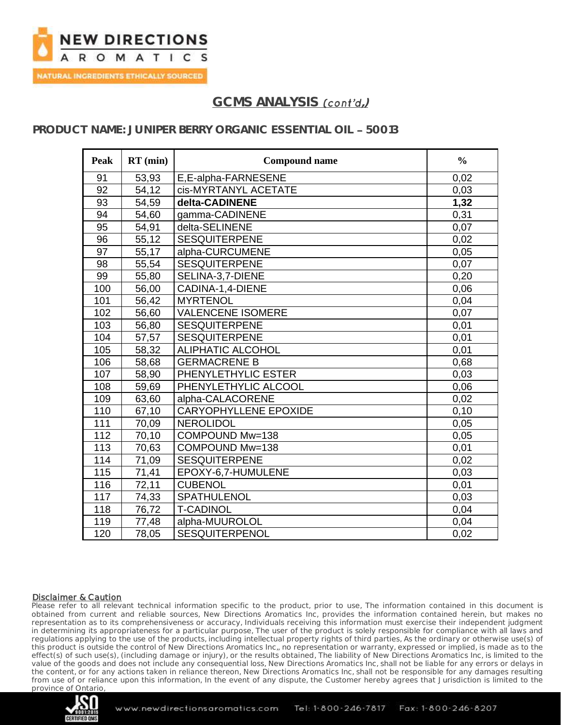

## **PRODUCT NAME: JUNIPER BERRY ORGANIC ESSENTIAL OIL 50013**

| <b>Peak</b> | $RT$ (min) | <b>Compound name</b>         | $\frac{0}{0}$ |
|-------------|------------|------------------------------|---------------|
| 91          | 53,93      | E,E-alpha-FARNESENE          | 0,02          |
| 92          | 54,12      | cis-MYRTANYL ACETATE         | 0,03          |
| 93          | 54,59      | delta-CADINENE               | 1,32          |
| 94          | 54,60      | gamma-CADINENE               | 0,31          |
| 95          | 54,91      | delta-SELINENE               | 0,07          |
| 96          | 55,12      | <b>SESQUITERPENE</b>         | 0,02          |
| 97          | 55,17      | alpha-CURCUMENE              | 0,05          |
| 98          | 55,54      | <b>SESQUITERPENE</b>         | 0,07          |
| 99          | 55,80      | SELINA-3,7-DIENE             | 0,20          |
| 100         | 56,00      | CADINA-1,4-DIENE             | 0,06          |
| 101         | 56,42      | <b>MYRTENOL</b>              | 0,04          |
| 102         | 56,60      | <b>VALENCENE ISOMERE</b>     | 0,07          |
| 103         | 56,80      | <b>SESQUITERPENE</b>         | 0,01          |
| 104         | 57,57      | <b>SESQUITERPENE</b>         | 0,01          |
| 105         | 58,32      | <b>ALIPHATIC ALCOHOL</b>     | 0,01          |
| 106         | 58,68      | <b>GERMACRENE B</b>          | 0,68          |
| 107         | 58,90      | PHENYLETHYLIC ESTER          | 0,03          |
| 108         | 59,69      | PHENYLETHYLIC ALCOOL         | 0,06          |
| 109         | 63,60      | alpha-CALACORENE             | 0,02          |
| 110         | 67,10      | <b>CARYOPHYLLENE EPOXIDE</b> | 0, 10         |
| 111         | 70,09      | <b>NEROLIDOL</b>             | 0,05          |
| 112         | 70,10      | COMPOUND Mw=138              | 0,05          |
| 113         | 70,63      | COMPOUND Mw=138              | 0,01          |
| 114         | 71,09      | <b>SESQUITERPENE</b>         | 0,02          |
| 115         | 71,41      | EPOXY-6,7-HUMULENE           | 0,03          |
| 116         | 72,11      | <b>CUBENOL</b>               | 0,01          |
| 117         | 74,33      | SPATHULENOL                  | 0,03          |
| 118         | 76,72      | <b>T-CADINOL</b>             | 0,04          |
| 119         | 77,48      | alpha-MUUROLOL               | 0,04          |
| 120         | 78,05      | <b>SESQUITERPENOL</b>        | 0,02          |

#### Disclaimer & Caution